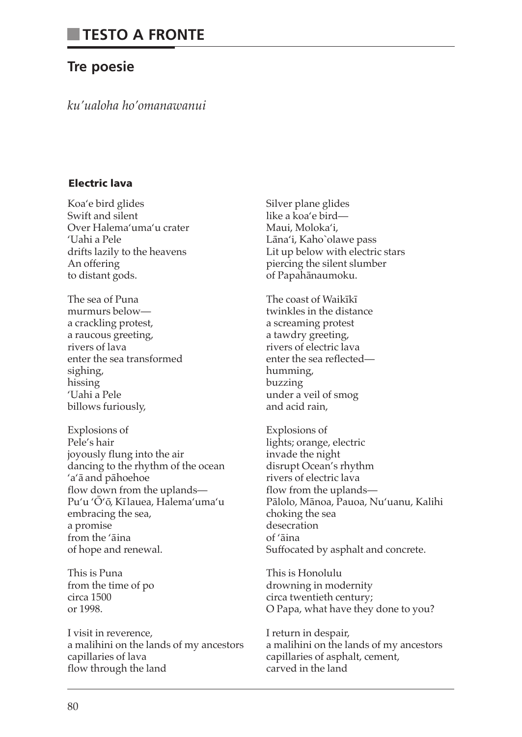# **Tre poesie**

*ku'ualoha ho'omanawanui*

# **Electric lava**

Koa'e bird glides Swift and silent Over Halema'uma'u crater 'Uahi a Pele drifts lazily to the heavens An offering to distant gods.

The sea of Puna murmurs below a crackling protest, a raucous greeting, rivers of lava enter the sea transformed sighing, hissing 'Uahi a Pele billows furiously,

Explosions of Pele's hair joyously flung into the air dancing to the rhythm of the ocean 'a'ā and pāhoehoe flow down from the uplands— Pu'u 'Ō'ō, Kī lauea, Halema'uma'u embracing the sea, a promise from the 'aina of hope and renewal.

This is Puna from the time of po circa 1500 or 1998.

I visit in reverence, a malihini on the lands of my ancestors capillaries of lava flow through the land

Silver plane glides like a koa'e bird— Maui, Moloka'i, Lāna'i, Kaho`olawe pass Lit up below with electric stars piercing the silent slumber of Papahānaumoku.

The coast of Waikīkī twinkles in the distance a screaming protest a tawdry greeting, rivers of electric lava enter the sea reflected humming, buzzing under a veil of smog and acid rain,

Explosions of lights; orange, electric invade the night disrupt Ocean's rhythm rivers of electric lava flow from the uplands— Pālolo, Mānoa, Pauoa, Nu'uanu, Kalihi choking the sea desecration of 'āina Suffocated by asphalt and concrete.

This is Honolulu drowning in modernity circa twentieth century; O Papa, what have they done to you?

I return in despair, a malihini on the lands of my ancestors capillaries of asphalt, cement, carved in the land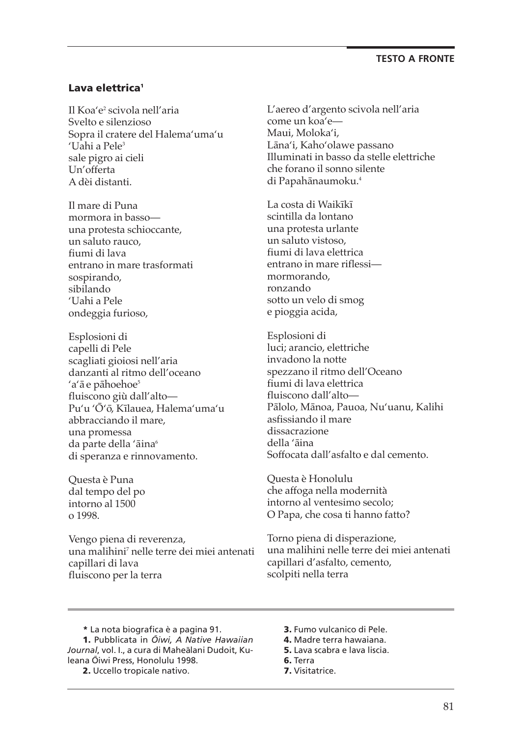# **Lava elettrica1**

Il Koa'e2 scivola nell'aria Svelto e silenzioso Sopra il cratere del Halema'uma'u 'Uahi a Pele<sup>3</sup> sale pigro ai cieli Un'offerta A dèi distanti.

Il mare di Puna mormora in basso una protesta schioccante, un saluto rauco, fiumi di lava entrano in mare trasformati sospirando, sibilando 'Uahi a Pele ondeggia furioso,

Esplosioni di capelli di Pele scagliati gioiosi nell'aria danzanti al ritmo dell'oceano 'a'ā e pāhoehoe<sup>5</sup> fluiscono giù dall'alto— Pu'u 'Ō'ō, Kīlauea, Halema'uma'u abbracciando il mare, una promessa da parte della 'āina<sup>6</sup> di speranza e rinnovamento.

Questa è Puna dal tempo del po intorno al 1500 o 1998.

Vengo piena di reverenza, una malihini <sup>7</sup> nelle terre dei miei antenati capillari di lava fluiscono per la terra

L'aereo d'argento scivola nell'aria come un koa'e— Maui, Moloka'i, Lāna'i, Kaho'olawe passano Illuminati in basso da stelle elettriche che forano il sonno silente di Papahānaumoku.<sup>4</sup>

La costa di Waikīkī scintilla da lontano una protesta urlante un saluto vistoso, fiumi di lava elettrica entrano in mare riflessi mormorando, ronzando sotto un velo di smog e pioggia acida,

Esplosioni di luci; arancio, elettriche invadono la notte spezzano il ritmo dell'Oceano fiumi di lava elettrica fluiscono dall'alto— Pālolo, Mānoa, Pauoa, Nu'uanu, Kalihi asfissiando il mare dissacrazione della 'āina Soffocata dall'asfalto e dal cemento.

Questa è Honolulu che affoga nella modernità intorno al ventesimo secolo; O Papa, che cosa ti hanno fatto?

Torno piena di disperazione, una malihini nelle terre dei miei antenati capillari d'asfalto, cemento, scolpiti nella terra

**\*** La nota biografica è a pagina 91.

**1.** Pubblicata in *O¯ iwi, A Native Hawaiian* Journal, vol. I., a cura di Maheālani Dudoit, Kuleana Ōiwi Press, Honolulu 1998.

**2.** Uccello tropicale nativo.

- **3.** Fumo vulcanico di Pele.
- **4.** Madre terra hawaiana.
- **5.** Lava scabra e lava liscia. **6.** Terra
- **7.** Visitatrice.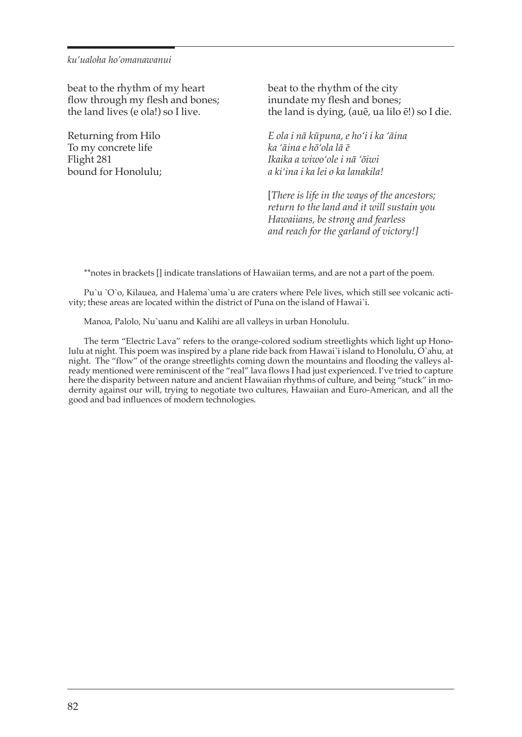beat to the rhythm of my heart flow through my flesh and bones; the land lives (e ola!) so I live.

Returning from Hilo To my concrete life Flight 281 bound for Honolulu; beat to the rhythm of the city inundate my flesh and bones; the land is dying, (au $\bar{e}$ , ua lilo  $\bar{e}$ !) so I die.

*E ola i na¯ ku¯ puna, e ho'i i ka 'a¯ina ka 'a¯ina e ho¯'ola la¯ e¯ Ikaika a wiwo'ole i na¯ 'o¯iwi a ki'ina i ka lei o ka lanakila!*

[*There is life in the ways of the ancestors; return to the land and it will sustain you Hawaiians, be strong and fearless and reach for the garland of victory!]*

\*\*notes in brackets [] indicate translations of Hawaiian terms, and are not a part of the poem.

Pu`u `O`o, Kilauea, and Halema`uma`u are craters where Pele lives, which still see volcanic activity; these areas are located within the district of Puna on the island of Hawai`i.

Manoa, Palolo, Nu`uanu and Kalihi are all valleys in urban Honolulu.

The term "Electric Lava" refers to the orange-colored sodium streetlights which light up Honolulu at night. This poem was inspired by a plane ride back from Hawai`i island to Honolulu, O`ahu, at night. The "flow" of the orange streetlights coming down the mountains and flooding the valleys already mentioned were reminiscent of the "real" lava flows I had just experienced. I've tried to capture here the disparity between nature and ancient Hawaiian rhythms of culture, and being "stuck" in modernity against our will, trying to negotiate two cultures, Hawaiian and Euro-American, and all the good and bad influences of modern technologies.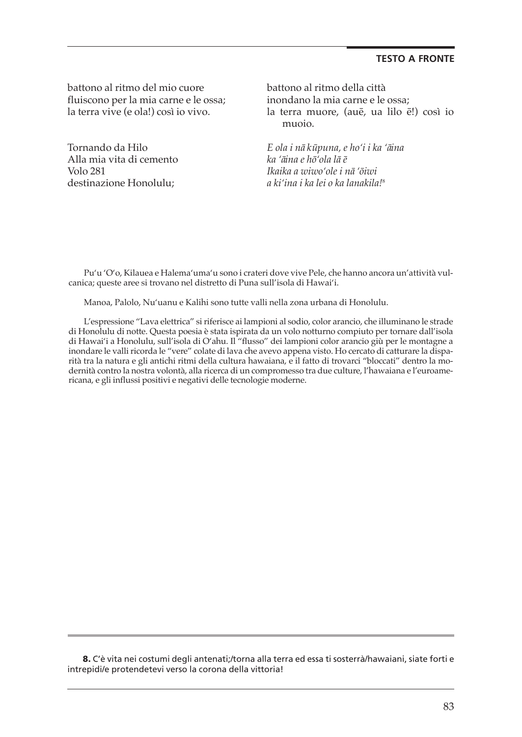battono al ritmo del mio cuore fluiscono per la mia carne e le ossa; la terra vive (e ola!) così io vivo.

Tornando da Hilo Alla mia vita di cemento Volo 281 destinazione Honolulu;

battono al ritmo della città inondano la mia carne e le ossa; la terra muore, (auē, ua lilo ē!) così io muoio.

*E ola i na¯ ku¯puna, e ho'i i ka 'a¯ina ka 'a¯ina e ho¯'ola la¯ e¯ Ikaika a wiwo'ole i na¯ 'o¯iwi a ki'ina i ka lei o ka lanakila!* 8

Pu'u 'O'o, Kilauea e Halema'uma'u sono i crateri dove vive Pele, che hanno ancora un'attività vulcanica; queste aree si trovano nel distretto di Puna sull'isola di Hawai'i.

Manoa, Palolo, Nu'uanu e Kalihi sono tutte valli nella zona urbana di Honolulu.

L'espressione "Lava elettrica" siriferisce ai lampioni al sodio, color arancio, che illuminano le strade di Honolulu di notte. Questa poesia è stata ispirata da un volo notturno compiuto per tornare dall'isola di Hawai'i a Honolulu, sull'isola di O'ahu. Il "flusso" dei lampioni color arancio giù per le montagne a inondare le valliricorda le "vere" colate di lava che avevo appena visto. Ho cercato di catturare la disparità tra la natura e gli antichi ritmi della cultura hawaiana, e il fatto di trovarci "bloccati" dentro la modernità contro la nostra volontà, alla ricerca di un compromesso tra due culture, l'hawaiana e l'euroamericana, e gli influssi positivi e negativi delle tecnologie moderne.

**8.** C'è vita nei costumi degli antenati;/torna alla terra ed essa ti sosterrà/hawaiani, siate forti e intrepidi/e protendetevi verso la corona della vittoria!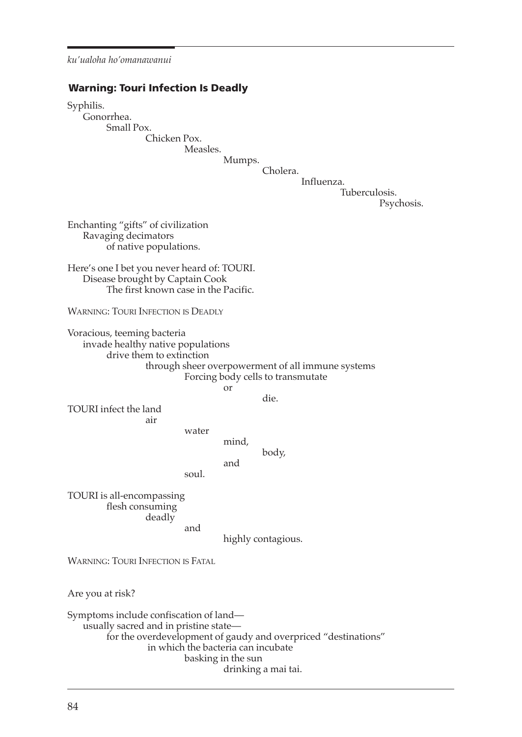#### **Warning: Touri Infection Is Deadly**

Syphilis. Gonorrhea. Small Pox. Chicken Pox. Measles. Mumps. Cholera. Influenza. Tuberculosis. Psychosis. Enchanting "gifts" of civilization Ravaging decimators of native populations. Here's one I bet you never heard of: TOURI. Disease brought by Captain Cook The first known case in the Pacific. WARNING: TOURI INFECTION IS DEADLy Voracious, teeming bacteria invade healthy native populations drive them to extinction through sheer overpowerment of all immune systems Forcing body cells to transmutate or die. TOURI infect the land air water mind, body, and soul. TOURI is all-encompassing flesh consuming deadly and highly contagious. WARNING: TOURI INFECTION IS FATAL Are you at risk? Symptoms include confiscation of land usually sacred and in pristine state for the overdevelopment of gaudy and overpriced "destinations"

drinking a mai tai.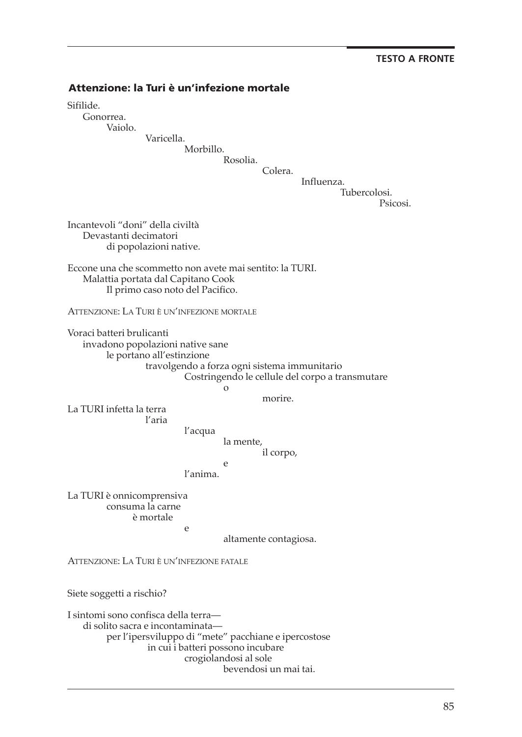## **Attenzione: la Turi è un'infezione mortale**

Sifilide.

Gonorrea.

Vaiolo.

Varicella.

Morbillo.

Rosolia. Colera.

Influenza.

Tubercolosi.

Psicosi.

Incantevoli "doni" della civiltà Devastanti decimatori di popolazioni native.

Eccone una che scommetto non avete mai sentito: la TURI. Malattia portata dal Capitano Cook Il primo caso noto del Pacifico.

ATTENzIONE: LA TURI è UN'INFEzIONE MORTALE

Voraci batteri brulicanti invadono popolazioni native sane le portano all'estinzione travolgendo a forza ogni sistema immunitario Costringendo le cellule del corpo a transmutare o

e

morire.

La TURI infetta la terra l'aria

l'acqua

la mente, il corpo,

l'anima.

La TURI è onnicomprensiva consuma la carne è mortale e

altamente contagiosa.

ATTENzIONE: LA TURI è UN'INFEzIONE FATALE

Siete soggetti a rischio?

I sintomi sono confisca della terra di solito sacra e incontaminata per l'ipersviluppo di "mete" pacchiane e ipercostose in cui i batteri possono incubare crogiolandosi al sole bevendosi un mai tai.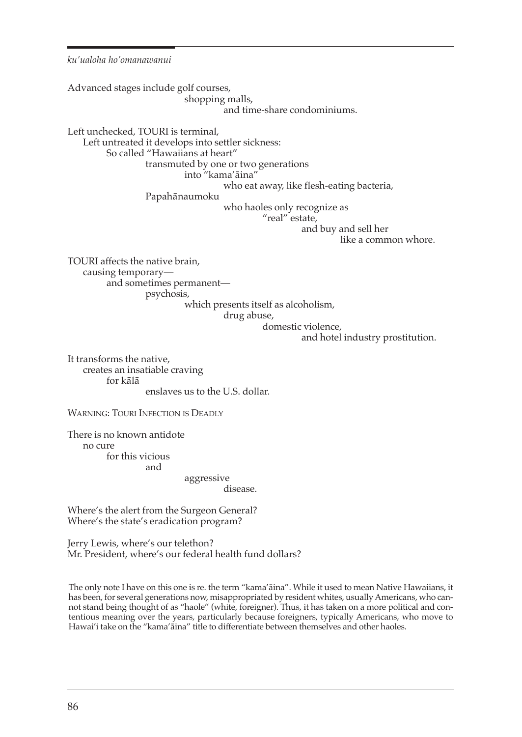Advanced stages include golf courses, shopping malls, and time-share condominiums. Left unchecked, TOURI is terminal, Left untreated it develops into settler sickness: So called "Hawaiians at heart" transmuted by one or two generations into "kama'āina" who eat away, like flesh-eating bacteria, Papahānaumoku who haoles only recognize as "real" estate, and buy and sell her like a common whore. TOURI affects the native brain, causing temporary and sometimes permanent psychosis, which presents itself as alcoholism, drug abuse, domestic violence, and hotel industry prostitution.

It transforms the native, creates an insatiable craving for kālā enslaves us to the U.S. dollar.

WARNING: TOURI INFECTION IS DEADLy

There is no known antidote no cure for this vicious and

aggressive

disease.

Where's the alert from the Surgeon General? Where's the state's eradication program?

Jerry Lewis, where's our telethon? Mr. President, where's our federal health fund dollars?

The only note I have on this one is re. the term "kama'āina". While it used to mean Native Hawaiians, it has been, for several generations now, misappropriated by resident whites, usually Americans, who cannot stand being thought of as "haole" (white, foreigner). Thus, it has taken on a more political and contentious meaning over the years, particularly because foreigners, typically Americans, who move to Hawai'i take on the "kama'aina" title to differentiate between themselves and other haoles.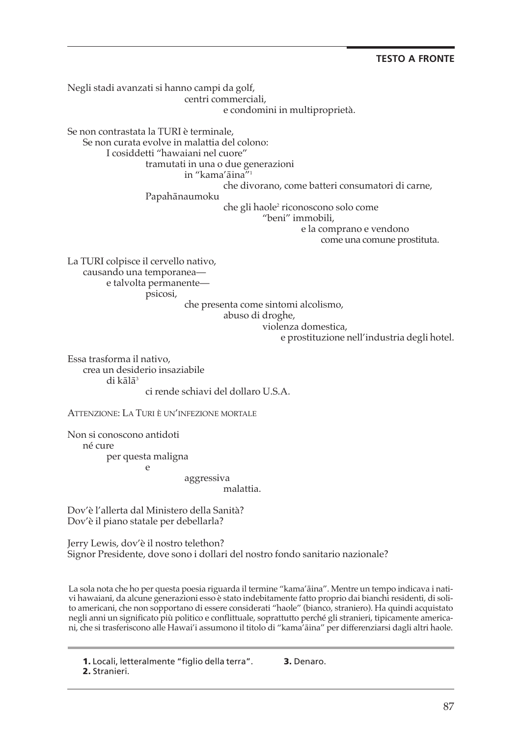Negli stadi avanzati si hanno campi da golf, centri commerciali, e condomini in multiproprietà. Se non contrastata la TURI è terminale, Se non curata evolve in malattia del colono: I cosiddetti "hawaiani nel cuore" tramutati in una o due generazioni in "kama' $\bar{a}$ ina"<sup>1</sup> che divorano, come batteri consumatori di carne, Papahānaumoku che gli haole<sup>2</sup> riconoscono solo come "beni" immobili, e la comprano e vendono come una comune prostituta. La TURI colpisce il cervello nativo, causando una temporanea e talvolta permanente psicosi, che presenta come sintomi alcolismo, abuso di droghe, violenza domestica,

e prostituzione nell'industria degli hotel.

Essa trasforma il nativo, crea un desiderio insaziabile di kālā<sup>3</sup> ci rende schiavi del dollaro U.S.A.

ATTENzIONE: LA TURI è UN'INFEzIONE MORTALE

Non si conoscono antidoti né cure per questa maligna e

aggressiva

malattia.

Dov'è l'allerta dal Ministero della Sanità? Dov'è il piano statale per debellarla?

Jerry Lewis, dov'è il nostro telethon? Signor Presidente, dove sono i dollari del nostro fondo sanitario nazionale?

La sola nota che ho per questa poesia riguarda il termine "kama'āina". Mentre un tempo indicava i nativi hawaiani, da alcune generazioni esso è stato indebitamente fatto proprio dai bianchi residenti, di solito americani, che non sopportano di essere considerati "haole" (bianco, straniero). Ha quindi acquistato negli anni un significato più politico e conflittuale, soprattutto perché gli stranieri, tipicamente americani, che si trasferiscono alle Hawai'i assumono il titolo di "kama'a¯ina" per differenziarsi dagli altri haole.

**3.** Denaro.

**1.** Locali, letteralmente "figlio della terra". **2.** Stranieri.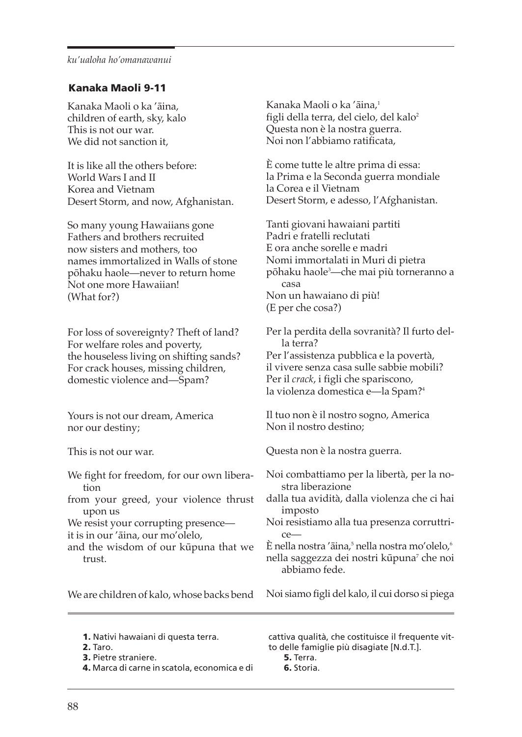# **Kanaka Maoli 9-11**

Kanaka Maoli o ka 'āina, children of earth, sky, kalo This is not our war. We did not sanction it,

It is like all the others before: World Wars I and II Korea and Vietnam Desert Storm, and now, Afghanistan.

So many young Hawaiians gone Fathers and brothers recruited now sisters and mothers, too names immortalized in Walls of stone pōhaku haole—never to return home Not one more Hawaiian! (What for?)

For loss of sovereignty? Theft of land? For welfare roles and poverty, the houseless living on shifting sands? For crack houses, missing children, domestic violence and—Spam?

Yours is not our dream, America nor our destiny;

This is not our war.

We fight for freedom, for our own liberation from your greed, your violence thrust

upon us We resist your corrupting presence—

it is in our 'āina, our mo'olelo,

and the wisdom of our kūpuna that we trust.

Kanaka Maoli o ka 'āina,<sup>ı</sup> figli della terra, del cielo, del kalo<sup>2</sup> Questa non è la nostra guerra. Noi non l'abbiamo ratificata,

è come tutte le altre prima di essa: la Prima e la Seconda guerra mondiale la Corea e il Vietnam Desert Storm, e adesso, l'Afghanistan.

Tanti giovani hawaiani partiti Padri e fratelli reclutati E ora anche sorelle e madri Nomi immortalati in Muri di pietra pōhaku haole<sup>3</sup>—che mai più torneranno a casa Non un hawaiano di più! (E per che cosa?)

Per la perdita della sovranità? Il furto della terra? Per l'assistenza pubblica e la povertà, il vivere senza casa sulle sabbie mobili? Per il *crack*, i figli che spariscono, la violenza domestica e—la Spam?4

Il tuo non è il nostro sogno, America Non il nostro destino;

Questa non è la nostra guerra.

Noi combattiamo per la libertà, per la nostra liberazione

dalla tua avidità, dalla violenza che ci hai imposto

Noi resistiamo alla tua presenza corruttrice—

E nella nostra 'āina,<sup>5</sup> nella nostra mo'olelo,<sup>6</sup> nella saggezza dei nostri kūpuna<sup>7</sup> che noi abbiamo fede.

We are children of kalo, whose backs bend

Noi siamo figli del kalo, il cui dorso si piega

**1.** Nativi hawaiani di questa terra.

**2.** Taro.

**3.** Pietre straniere.

**4.** Marca di carne in scatola, economica e di

cattiva qualità, che costituisce il frequente vitto delle famiglie più disagiate [N.d.T.].

**5.** Terra.

**6.** Storia.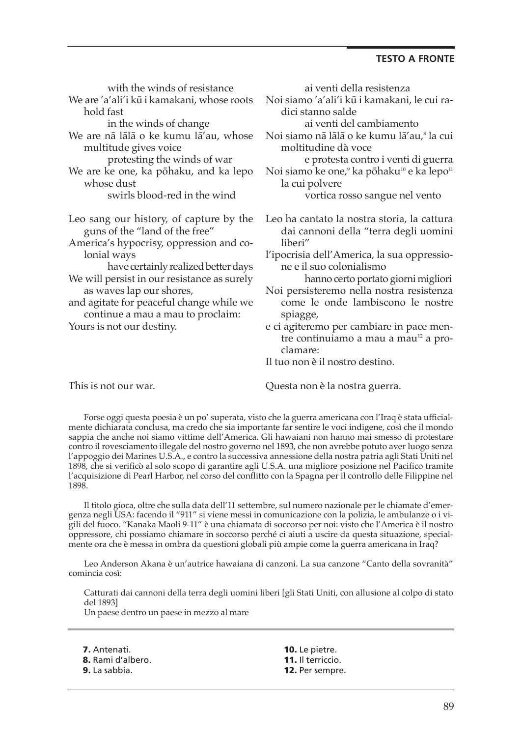| with the winds of resistance                                              | ai venti della resistenza                                                                        |
|---------------------------------------------------------------------------|--------------------------------------------------------------------------------------------------|
| We are 'a'ali'i kū i kamakani, whose roots<br>hold fast                   | Noi siamo 'a'ali'i kū i kamakani, le cui ra-<br>dici stanno salde                                |
| in the winds of change                                                    | ai venti del cambiamento                                                                         |
| We are nā lālā o ke kumu lā'au, whose                                     | Noi siamo nā lālā o ke kumu lā'au, <sup>8</sup> la cui                                           |
| multitude gives voice                                                     | moltitudine dà voce                                                                              |
| protesting the winds of war                                               | e protesta contro i venti di guerra                                                              |
| We are ke one, ka pōhaku, and ka lepo<br>whose dust                       | Noi siamo ke one, <sup>9</sup> ka pōhaku <sup>10</sup> e ka lepo <sup>11</sup><br>la cui polvere |
| swirls blood-red in the wind                                              | vortica rosso sangue nel vento                                                                   |
| Leo sang our history, of capture by the<br>guns of the "land of the free" | Leo ha cantato la nostra storia, la cattura<br>dai cannoni della "terra degli uomini             |
| America's hypocrisy, oppression and co-                                   | liberi"                                                                                          |
| lonial ways<br>have certainly realized better days                        | l'ipocrisia dell'America, la sua oppressio-<br>ne e il suo colonialismo                          |
| We will persist in our resistance as surely                               | hanno certo portato giorni migliori                                                              |
| as waves lap our shores,<br>and agitate for peaceful change while we      | Noi persisteremo nella nostra resistenza<br>come le onde lambiscono le nostre                    |
| continue a mau a mau to proclaim:<br>Yours is not our destiny.            | spiagge,<br>e ci agiteremo per cambiare in pace men-                                             |
|                                                                           | tre continuiamo a mau a mau <sup>12</sup> a pro-                                                 |
|                                                                           | clamare:<br>Il tuo non è il nostro destino.                                                      |
|                                                                           |                                                                                                  |

This is not our war.

Questa non è la nostra guerra.

Forse oggi questa poesia è un po' superata, visto che la guerra americana con l'Iraq è stata ufficialmente dichiarata conclusa, ma credo che sia importante far sentire le voci indigene, così che il mondo sappia che anche noi siamo vittime dell'America. Gli hawaiani non hanno mai smesso di protestare contro il rovesciamento illegale del nostro governo nel 1893, che non avrebbe potuto aver luogo senza l'appoggio dei Marines U.S.A., e contro la successiva annessione della nostra patria agli Stati Uniti nel 1898, che si verificò al solo scopo di garantire agli U.S.A. una migliore posizione nel Pacifico tramite l'acquisizione di Pearl Harbor, nel corso del conflitto con la Spagna per il controllo delle Filippine nel 1898.

Il titolo gioca, oltre che sulla data dell'11 settembre, sul numero nazionale per le chiamate d'emergenza negli USA: facendo il "911" si viene messi in comunicazione con la polizia, le ambulanze o i vigili del fuoco. "Kanaka Maoli 9-11" è una chiamata di soccorso per noi: visto che l'America è il nostro oppressore, chi possiamo chiamare in soccorso perché ci aiuti a uscire da questa situazione, specialmente ora che è messa in ombra da questioni globali più ampie come la guerra americana in Iraq?

Leo Anderson Akana è un'autrice hawaiana di canzoni. La sua canzone "Canto della sovranità" comincia così:

Catturati dai cannoni della terra degli uomini liberi [gli Stati Uniti, con allusione al colpo di stato del 1893]

Un paese dentro un paese in mezzo al mare

**7.** Antenati. **8.** Rami d'albero. **9.** La sabbia.

**10.** Le pietre. **11.** Il terriccio. **12.** Per sempre.